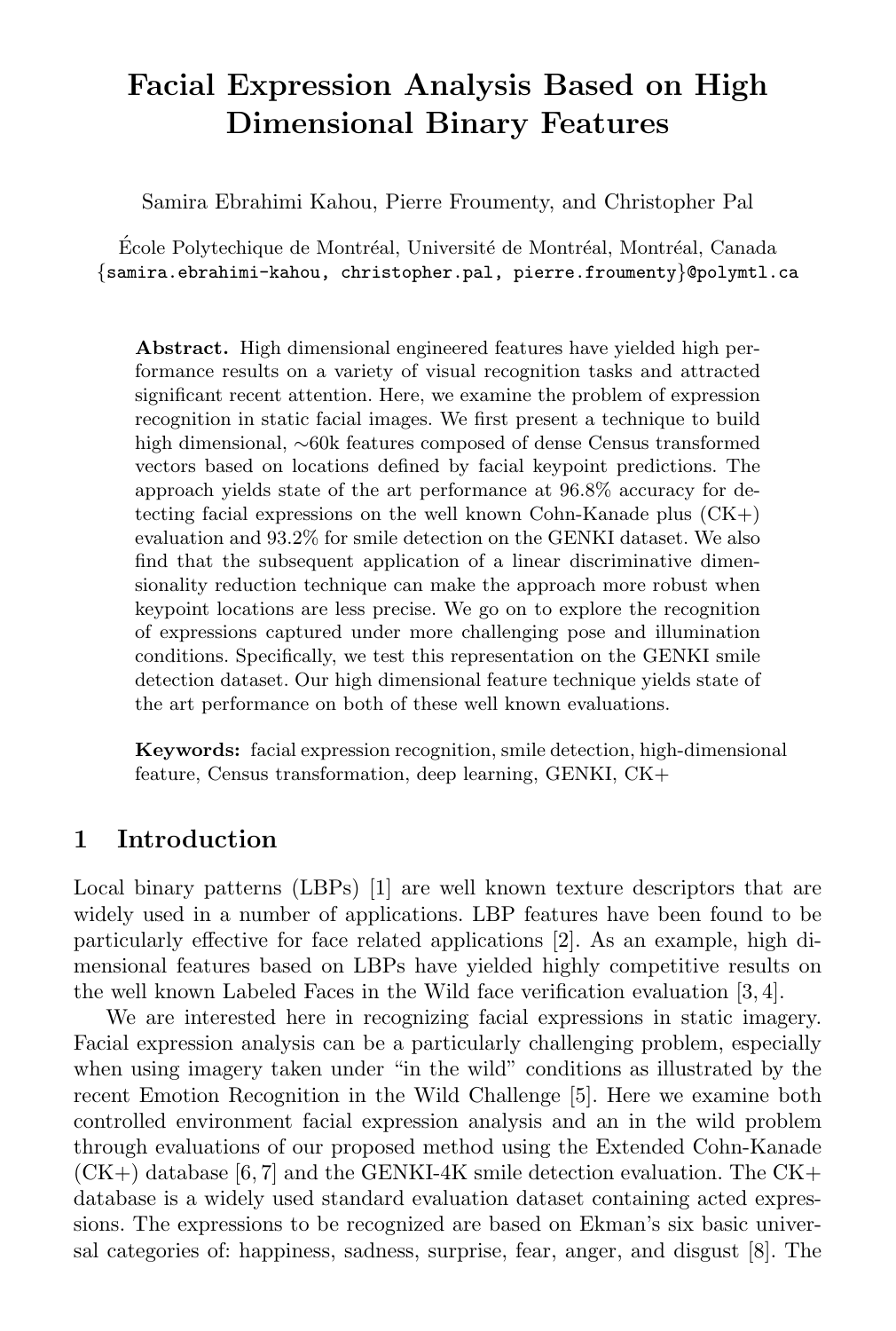# Facial Expression Analysis Based on High Dimensional Binary Features

Samira Ebrahimi Kahou, Pierre Froumenty, and Christopher Pal

École Polytechique de Montréal, Université de Montréal, Montréal, Canada {samira.ebrahimi-kahou, christopher.pal, pierre.froumenty}@polymtl.ca

Abstract. High dimensional engineered features have yielded high performance results on a variety of visual recognition tasks and attracted significant recent attention. Here, we examine the problem of expression recognition in static facial images. We first present a technique to build high dimensional, ∼60k features composed of dense Census transformed vectors based on locations defined by facial keypoint predictions. The approach yields state of the art performance at 96.8% accuracy for detecting facial expressions on the well known Cohn-Kanade plus  $(CK+)$ evaluation and 93.2% for smile detection on the GENKI dataset. We also find that the subsequent application of a linear discriminative dimensionality reduction technique can make the approach more robust when keypoint locations are less precise. We go on to explore the recognition of expressions captured under more challenging pose and illumination conditions. Specifically, we test this representation on the GENKI smile detection dataset. Our high dimensional feature technique yields state of the art performance on both of these well known evaluations.

Keywords: facial expression recognition, smile detection, high-dimensional feature, Census transformation, deep learning, GENKI, CK+

# 1 Introduction

Local binary patterns (LBPs) [1] are well known texture descriptors that are widely used in a number of applications. LBP features have been found to be particularly effective for face related applications [2]. As an example, high dimensional features based on LBPs have yielded highly competitive results on the well known Labeled Faces in the Wild face verification evaluation [3, 4].

We are interested here in recognizing facial expressions in static imagery. Facial expression analysis can be a particularly challenging problem, especially when using imagery taken under "in the wild" conditions as illustrated by the recent Emotion Recognition in the Wild Challenge [5]. Here we examine both controlled environment facial expression analysis and an in the wild problem through evaluations of our proposed method using the Extended Cohn-Kanade  $(CK+)$  database [6, 7] and the GENKI-4K smile detection evaluation. The  $CK+$ database is a widely used standard evaluation dataset containing acted expressions. The expressions to be recognized are based on Ekman's six basic universal categories of: happiness, sadness, surprise, fear, anger, and disgust [8]. The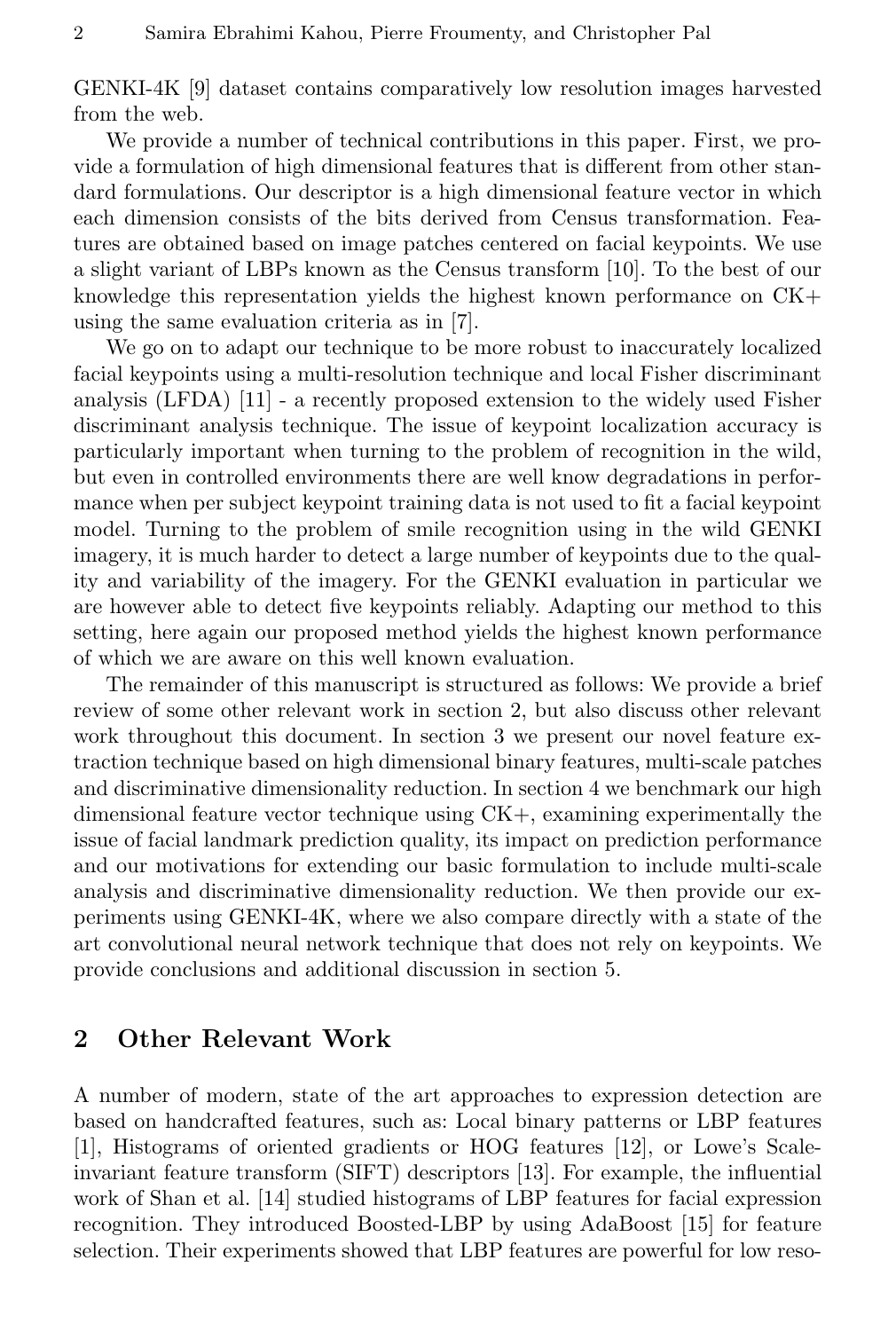GENKI-4K [9] dataset contains comparatively low resolution images harvested from the web.

We provide a number of technical contributions in this paper. First, we provide a formulation of high dimensional features that is different from other standard formulations. Our descriptor is a high dimensional feature vector in which each dimension consists of the bits derived from Census transformation. Features are obtained based on image patches centered on facial keypoints. We use a slight variant of LBPs known as the Census transform [10]. To the best of our knowledge this representation yields the highest known performance on CK+ using the same evaluation criteria as in [7].

We go on to adapt our technique to be more robust to inaccurately localized facial keypoints using a multi-resolution technique and local Fisher discriminant analysis (LFDA) [11] - a recently proposed extension to the widely used Fisher discriminant analysis technique. The issue of keypoint localization accuracy is particularly important when turning to the problem of recognition in the wild, but even in controlled environments there are well know degradations in performance when per subject keypoint training data is not used to fit a facial keypoint model. Turning to the problem of smile recognition using in the wild GENKI imagery, it is much harder to detect a large number of keypoints due to the quality and variability of the imagery. For the GENKI evaluation in particular we are however able to detect five keypoints reliably. Adapting our method to this setting, here again our proposed method yields the highest known performance of which we are aware on this well known evaluation.

The remainder of this manuscript is structured as follows: We provide a brief review of some other relevant work in section 2, but also discuss other relevant work throughout this document. In section 3 we present our novel feature extraction technique based on high dimensional binary features, multi-scale patches and discriminative dimensionality reduction. In section 4 we benchmark our high dimensional feature vector technique using CK+, examining experimentally the issue of facial landmark prediction quality, its impact on prediction performance and our motivations for extending our basic formulation to include multi-scale analysis and discriminative dimensionality reduction. We then provide our experiments using GENKI-4K, where we also compare directly with a state of the art convolutional neural network technique that does not rely on keypoints. We provide conclusions and additional discussion in section 5.

# 2 Other Relevant Work

A number of modern, state of the art approaches to expression detection are based on handcrafted features, such as: Local binary patterns or LBP features [1], Histograms of oriented gradients or HOG features [12], or Lowe's Scaleinvariant feature transform (SIFT) descriptors [13]. For example, the influential work of Shan et al. [14] studied histograms of LBP features for facial expression recognition. They introduced Boosted-LBP by using AdaBoost [15] for feature selection. Their experiments showed that LBP features are powerful for low reso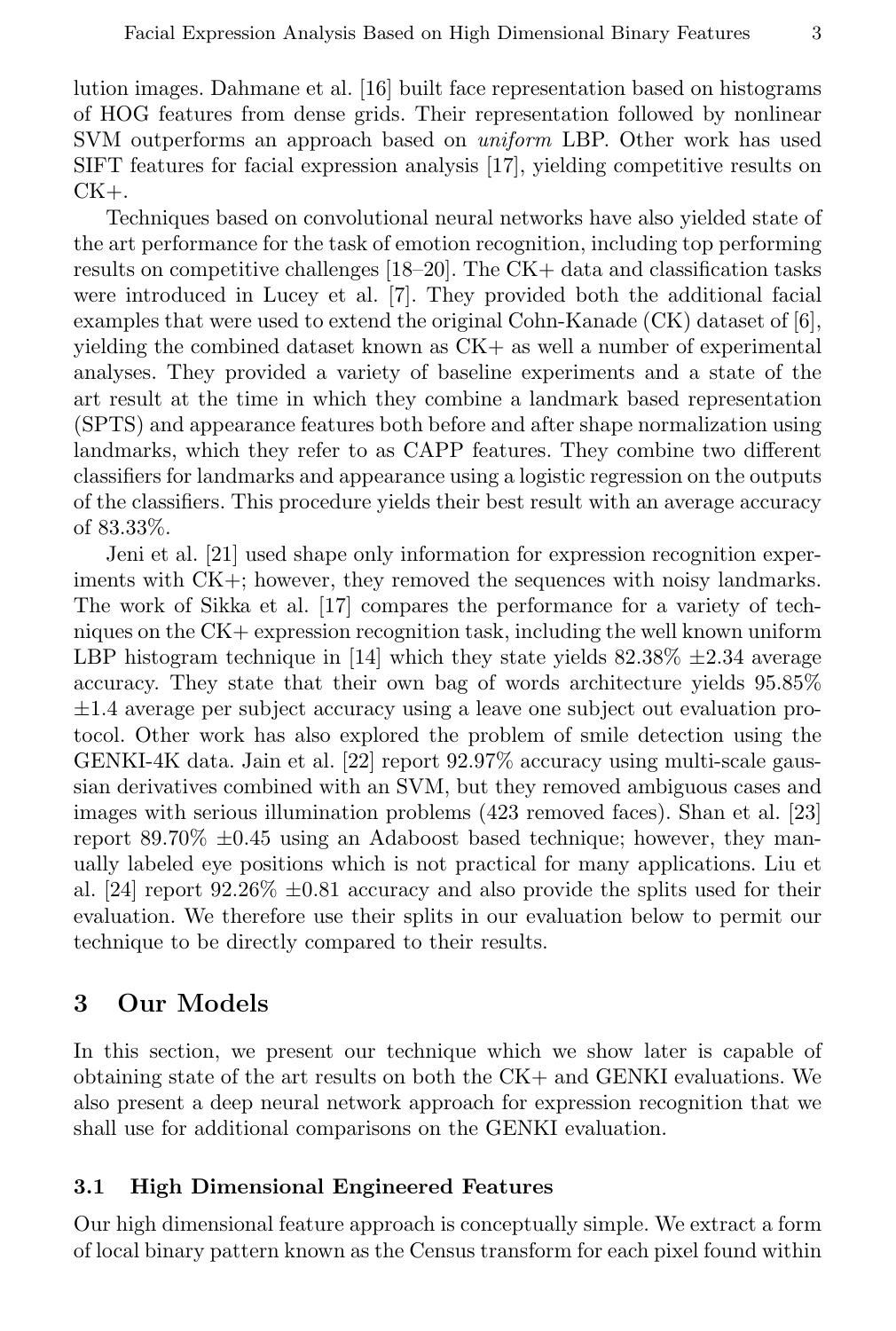lution images. Dahmane et al. [16] built face representation based on histograms of HOG features from dense grids. Their representation followed by nonlinear SVM outperforms an approach based on *uniform* LBP. Other work has used SIFT features for facial expression analysis [17], yielding competitive results on  $CK+$ .

Techniques based on convolutional neural networks have also yielded state of the art performance for the task of emotion recognition, including top performing results on competitive challenges [18–20]. The CK+ data and classification tasks were introduced in Lucey et al. [7]. They provided both the additional facial examples that were used to extend the original Cohn-Kanade (CK) dataset of [6], yielding the combined dataset known as CK+ as well a number of experimental analyses. They provided a variety of baseline experiments and a state of the art result at the time in which they combine a landmark based representation (SPTS) and appearance features both before and after shape normalization using landmarks, which they refer to as CAPP features. They combine two different classifiers for landmarks and appearance using a logistic regression on the outputs of the classifiers. This procedure yields their best result with an average accuracy of 83.33%.

Jeni et al. [21] used shape only information for expression recognition experiments with CK+; however, they removed the sequences with noisy landmarks. The work of Sikka et al. [17] compares the performance for a variety of techniques on the CK+ expression recognition task, including the well known uniform LBP histogram technique in [14] which they state yields  $82.38\% \pm 2.34$  average accuracy. They state that their own bag of words architecture yields 95.85% ±1.4 average per subject accuracy using a leave one subject out evaluation protocol. Other work has also explored the problem of smile detection using the GENKI-4K data. Jain et al. [22] report 92.97% accuracy using multi-scale gaussian derivatives combined with an SVM, but they removed ambiguous cases and images with serious illumination problems (423 removed faces). Shan et al. [23] report  $89.70\% \pm 0.45$  using an Adaboost based technique; however, they manually labeled eye positions which is not practical for many applications. Liu et al. [24] report  $92.26\% \pm 0.81$  accuracy and also provide the splits used for their evaluation. We therefore use their splits in our evaluation below to permit our technique to be directly compared to their results.

# 3 Our Models

In this section, we present our technique which we show later is capable of obtaining state of the art results on both the CK+ and GENKI evaluations. We also present a deep neural network approach for expression recognition that we shall use for additional comparisons on the GENKI evaluation.

#### 3.1 High Dimensional Engineered Features

Our high dimensional feature approach is conceptually simple. We extract a form of local binary pattern known as the Census transform for each pixel found within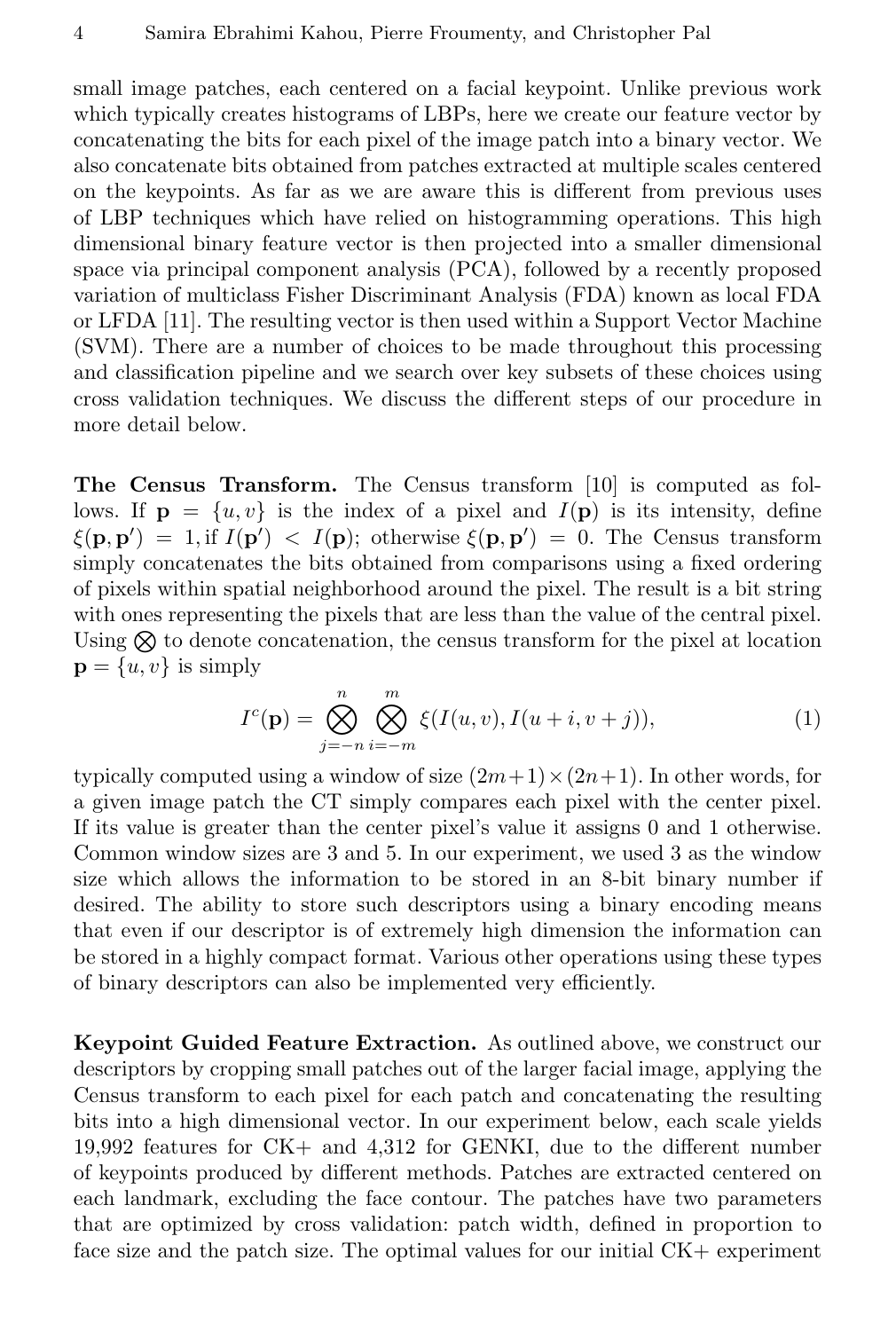small image patches, each centered on a facial keypoint. Unlike previous work which typically creates histograms of LBPs, here we create our feature vector by concatenating the bits for each pixel of the image patch into a binary vector. We also concatenate bits obtained from patches extracted at multiple scales centered on the keypoints. As far as we are aware this is different from previous uses of LBP techniques which have relied on histogramming operations. This high dimensional binary feature vector is then projected into a smaller dimensional space via principal component analysis (PCA), followed by a recently proposed variation of multiclass Fisher Discriminant Analysis (FDA) known as local FDA or LFDA [11]. The resulting vector is then used within a Support Vector Machine (SVM). There are a number of choices to be made throughout this processing and classification pipeline and we search over key subsets of these choices using cross validation techniques. We discuss the different steps of our procedure in more detail below.

The Census Transform. The Census transform [10] is computed as follows. If  $\mathbf{p} = \{u, v\}$  is the index of a pixel and  $I(\mathbf{p})$  is its intensity, define  $\xi(\mathbf{p}, \mathbf{p}') = 1$ , if  $I(\mathbf{p}') < I(\mathbf{p})$ ; otherwise  $\xi(\mathbf{p}, \mathbf{p}') = 0$ . The Census transform simply concatenates the bits obtained from comparisons using a fixed ordering of pixels within spatial neighborhood around the pixel. The result is a bit string with ones representing the pixels that are less than the value of the central pixel. Using  $\otimes$  to denote concatenation, the census transform for the pixel at location  $\mathbf{p} = \{u, v\}$  is simply

$$
I^{c}(\mathbf{p}) = \bigotimes_{j=-n}^{n} \bigotimes_{i=-m}^{m} \xi(I(u,v), I(u+i, v+j)), \tag{1}
$$

typically computed using a window of size  $(2m+1) \times (2n+1)$ . In other words, for a given image patch the CT simply compares each pixel with the center pixel. If its value is greater than the center pixel's value it assigns 0 and 1 otherwise. Common window sizes are 3 and 5. In our experiment, we used 3 as the window size which allows the information to be stored in an 8-bit binary number if desired. The ability to store such descriptors using a binary encoding means that even if our descriptor is of extremely high dimension the information can be stored in a highly compact format. Various other operations using these types of binary descriptors can also be implemented very efficiently.

Keypoint Guided Feature Extraction. As outlined above, we construct our descriptors by cropping small patches out of the larger facial image, applying the Census transform to each pixel for each patch and concatenating the resulting bits into a high dimensional vector. In our experiment below, each scale yields 19,992 features for CK+ and 4,312 for GENKI, due to the different number of keypoints produced by different methods. Patches are extracted centered on each landmark, excluding the face contour. The patches have two parameters that are optimized by cross validation: patch width, defined in proportion to face size and the patch size. The optimal values for our initial CK+ experiment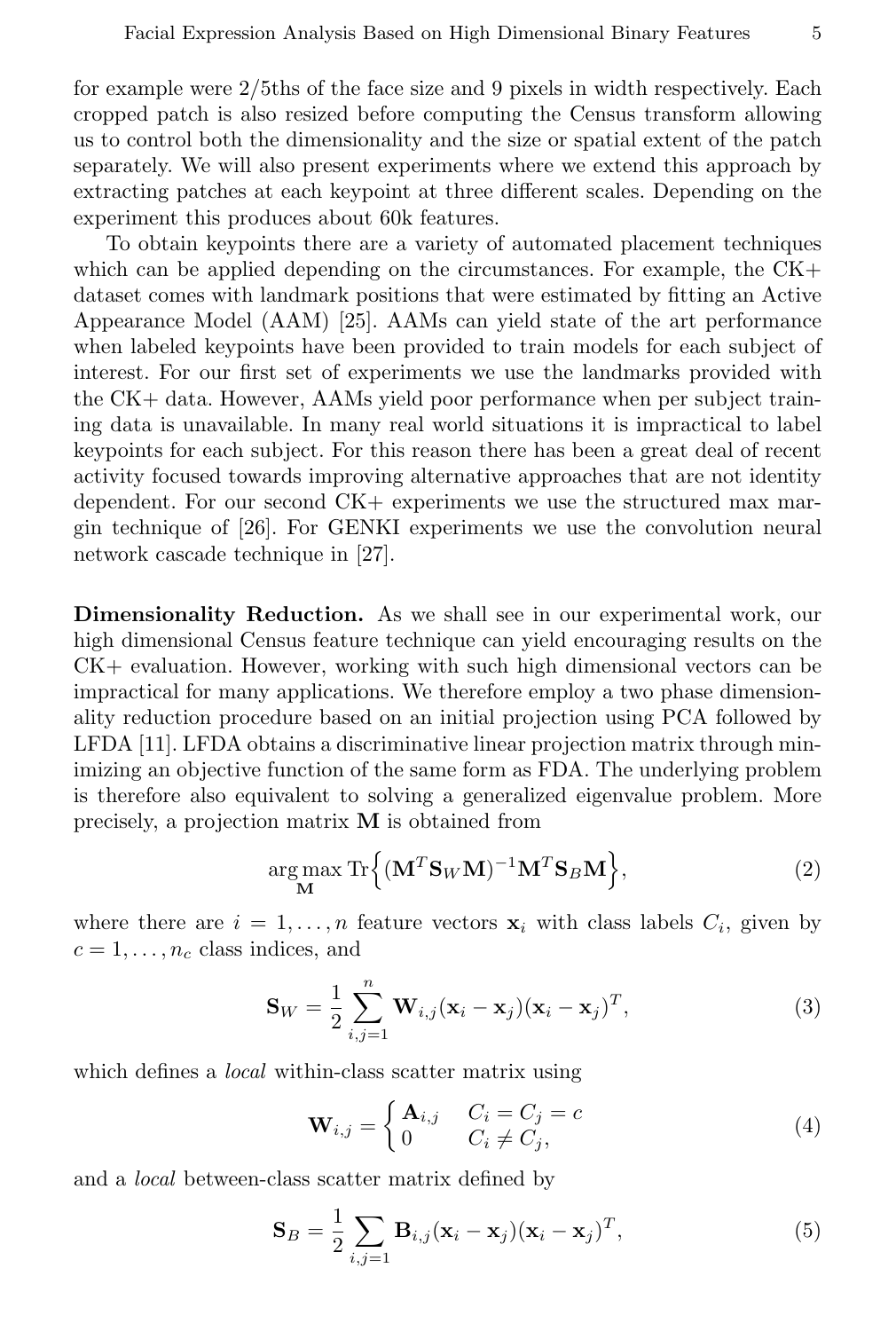for example were 2/5ths of the face size and 9 pixels in width respectively. Each cropped patch is also resized before computing the Census transform allowing us to control both the dimensionality and the size or spatial extent of the patch separately. We will also present experiments where we extend this approach by extracting patches at each keypoint at three different scales. Depending on the experiment this produces about 60k features.

To obtain keypoints there are a variety of automated placement techniques which can be applied depending on the circumstances. For example, the  $CK+$ dataset comes with landmark positions that were estimated by fitting an Active Appearance Model (AAM) [25]. AAMs can yield state of the art performance when labeled keypoints have been provided to train models for each subject of interest. For our first set of experiments we use the landmarks provided with the CK+ data. However, AAMs yield poor performance when per subject training data is unavailable. In many real world situations it is impractical to label keypoints for each subject. For this reason there has been a great deal of recent activity focused towards improving alternative approaches that are not identity dependent. For our second CK+ experiments we use the structured max margin technique of [26]. For GENKI experiments we use the convolution neural network cascade technique in [27].

Dimensionality Reduction. As we shall see in our experimental work, our high dimensional Census feature technique can yield encouraging results on the CK+ evaluation. However, working with such high dimensional vectors can be impractical for many applications. We therefore employ a two phase dimensionality reduction procedure based on an initial projection using PCA followed by LFDA [11]. LFDA obtains a discriminative linear projection matrix through minimizing an objective function of the same form as FDA. The underlying problem is therefore also equivalent to solving a generalized eigenvalue problem. More precisely, a projection matrix M is obtained from

$$
\underset{\mathbf{M}}{\arg \max} \ \text{Tr} \Big\{ (\mathbf{M}^T \mathbf{S}_W \mathbf{M})^{-1} \mathbf{M}^T \mathbf{S}_B \mathbf{M} \Big\},\tag{2}
$$

where there are  $i = 1, ..., n$  feature vectors  $\mathbf{x}_i$  with class labels  $C_i$ , given by  $c = 1, \ldots, n_c$  class indices, and

$$
\mathbf{S}_W = \frac{1}{2} \sum_{i,j=1}^n \mathbf{W}_{i,j} (\mathbf{x}_i - \mathbf{x}_j) (\mathbf{x}_i - \mathbf{x}_j)^T,
$$
\n(3)

which defines a *local* within-class scatter matrix using

$$
\mathbf{W}_{i,j} = \begin{cases} \mathbf{A}_{i,j} & C_i = C_j = c \\ 0 & C_i \neq C_j, \end{cases}
$$
(4)

and a local between-class scatter matrix defined by

$$
\mathbf{S}_{B} = \frac{1}{2} \sum_{i,j=1} \mathbf{B}_{i,j} (\mathbf{x}_{i} - \mathbf{x}_{j}) (\mathbf{x}_{i} - \mathbf{x}_{j})^{T},
$$
\n(5)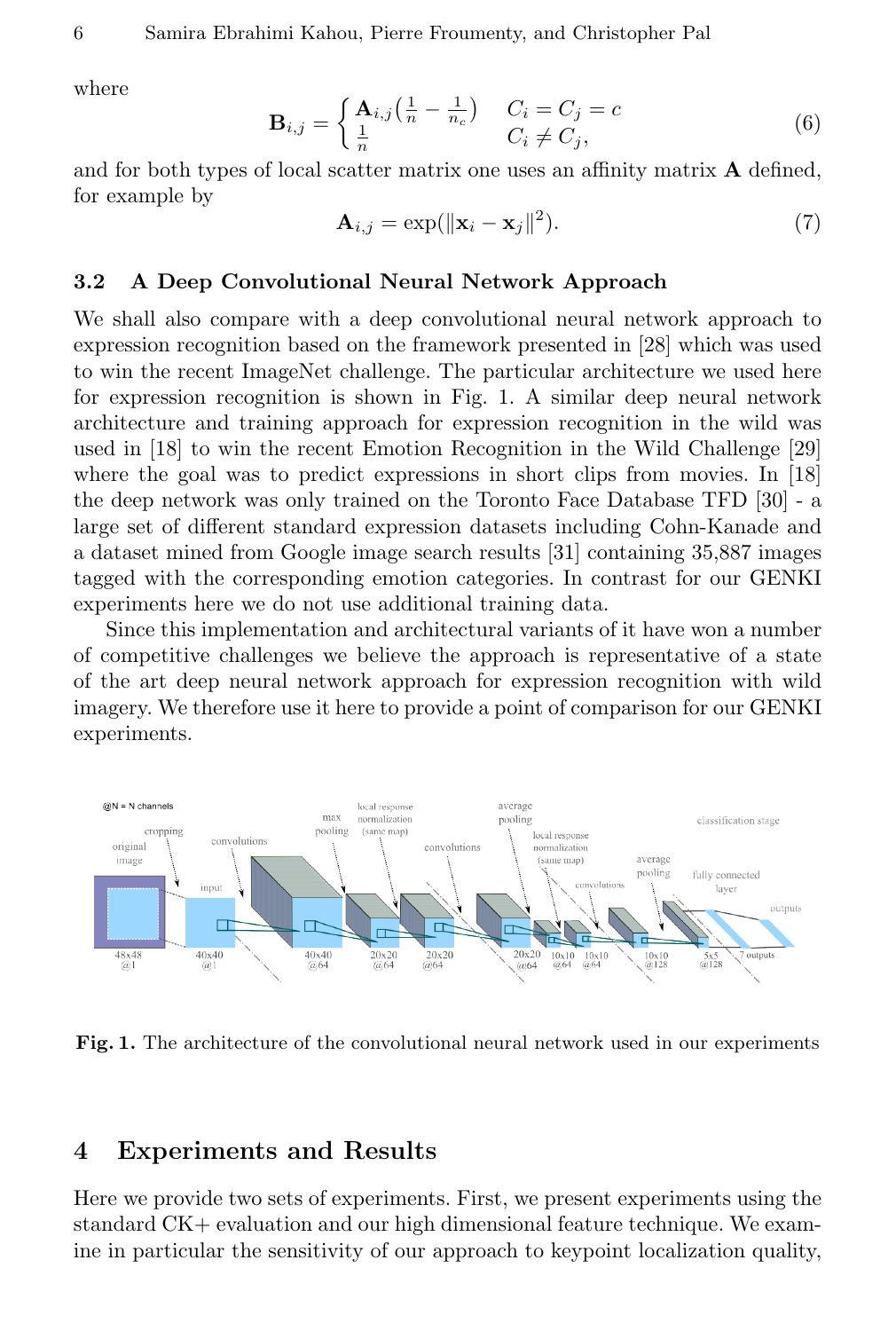where

$$
\mathbf{B}_{i,j} = \begin{cases} \mathbf{A}_{i,j} \left( \frac{1}{n} - \frac{1}{n_c} \right) & C_i = C_j = c \\ \frac{1}{n} & C_i \neq C_j, \end{cases} \tag{6}
$$

and for both types of local scatter matrix one uses an affinity matrix  $\bf{A}$  defined, for example by

$$
\mathbf{A}_{i,j} = \exp(||\mathbf{x}_i - \mathbf{x}_j||^2). \tag{7}
$$

### 3.2 A Deep Convolutional Neural Network Approach

We shall also compare with a deep convolutional neural network approach to expression recognition based on the framework presented in [28] which was used to win the recent ImageNet challenge. The particular architecture we used here for expression recognition is shown in Fig. 1. A similar deep neural network architecture and training approach for expression recognition in the wild was used in [18] to win the recent Emotion Recognition in the Wild Challenge [29] where the goal was to predict expressions in short clips from movies. In [18] the deep network was only trained on the Toronto Face Database TFD [30] - a large set of different standard expression datasets including Cohn-Kanade and a dataset mined from Google image search results [31] containing 35,887 images tagged with the corresponding emotion categories. In contrast for our GENKI experiments here we do not use additional training data.

Since this implementation and architectural variants of it have won a number of competitive challenges we believe the approach is representative of a state of the art deep neural network approach for expression recognition with wild imagery. We therefore use it here to provide a point of comparison for our GENKI experiments.



Fig. 1. The architecture of the convolutional neural network used in our experiments

## 4 Experiments and Results

Here we provide two sets of experiments. First, we present experiments using the standard CK+ evaluation and our high dimensional feature technique. We examine in particular the sensitivity of our approach to keypoint localization quality,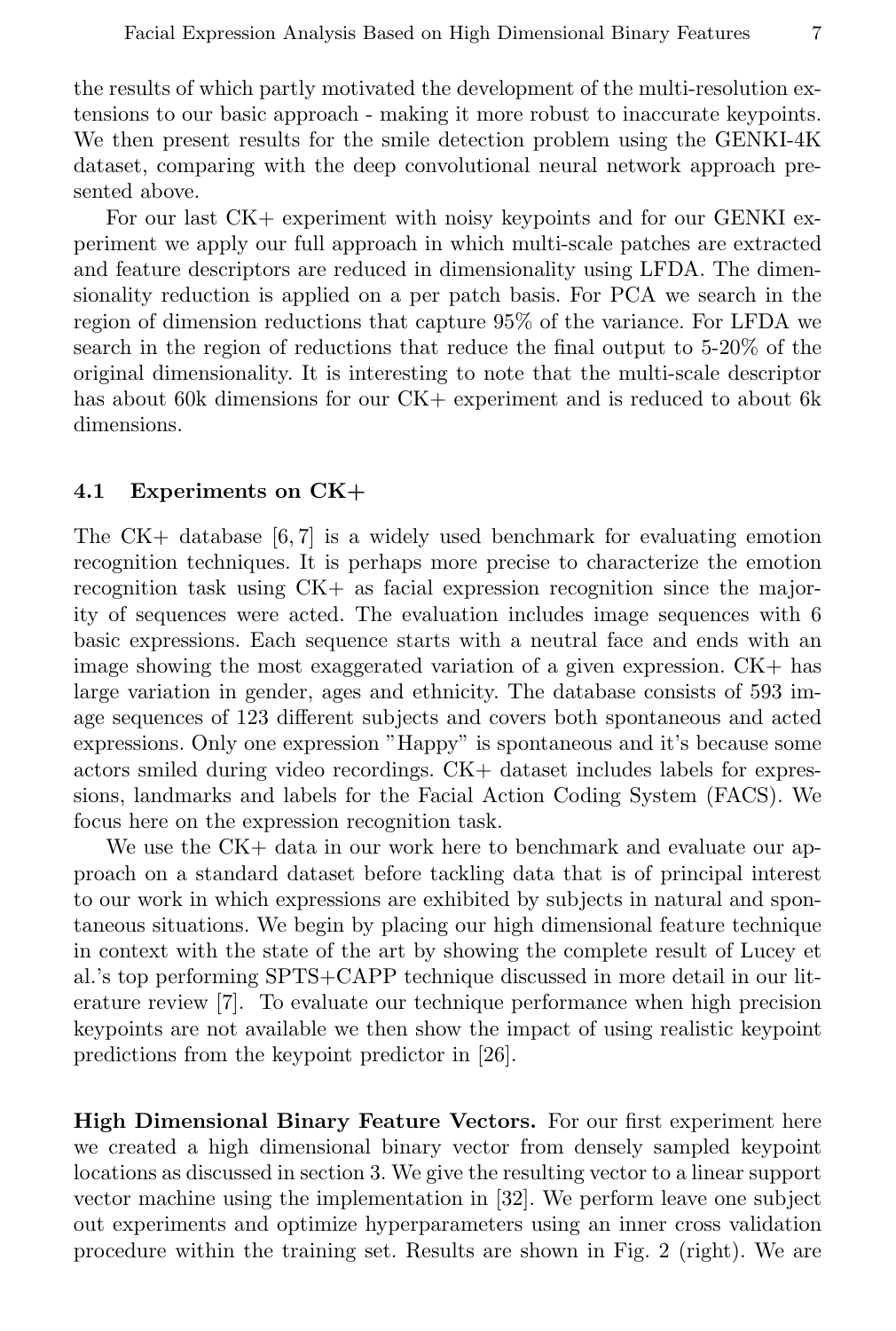the results of which partly motivated the development of the multi-resolution extensions to our basic approach - making it more robust to inaccurate keypoints. We then present results for the smile detection problem using the GENKI-4K dataset, comparing with the deep convolutional neural network approach presented above.

For our last CK+ experiment with noisy keypoints and for our GENKI experiment we apply our full approach in which multi-scale patches are extracted and feature descriptors are reduced in dimensionality using LFDA. The dimensionality reduction is applied on a per patch basis. For PCA we search in the region of dimension reductions that capture 95% of the variance. For LFDA we search in the region of reductions that reduce the final output to 5-20% of the original dimensionality. It is interesting to note that the multi-scale descriptor has about 60k dimensions for our CK+ experiment and is reduced to about 6k dimensions.

#### 4.1 Experiments on CK+

The CK+ database [6, 7] is a widely used benchmark for evaluating emotion recognition techniques. It is perhaps more precise to characterize the emotion recognition task using CK+ as facial expression recognition since the majority of sequences were acted. The evaluation includes image sequences with 6 basic expressions. Each sequence starts with a neutral face and ends with an image showing the most exaggerated variation of a given expression. CK+ has large variation in gender, ages and ethnicity. The database consists of 593 image sequences of 123 different subjects and covers both spontaneous and acted expressions. Only one expression "Happy" is spontaneous and it's because some actors smiled during video recordings. CK+ dataset includes labels for expressions, landmarks and labels for the Facial Action Coding System (FACS). We focus here on the expression recognition task.

We use the  $CK+$  data in our work here to benchmark and evaluate our approach on a standard dataset before tackling data that is of principal interest to our work in which expressions are exhibited by subjects in natural and spontaneous situations. We begin by placing our high dimensional feature technique in context with the state of the art by showing the complete result of Lucey et al.'s top performing SPTS+CAPP technique discussed in more detail in our literature review [7]. To evaluate our technique performance when high precision keypoints are not available we then show the impact of using realistic keypoint predictions from the keypoint predictor in [26].

High Dimensional Binary Feature Vectors. For our first experiment here we created a high dimensional binary vector from densely sampled keypoint locations as discussed in section 3. We give the resulting vector to a linear support vector machine using the implementation in [32]. We perform leave one subject out experiments and optimize hyperparameters using an inner cross validation procedure within the training set. Results are shown in Fig. 2 (right). We are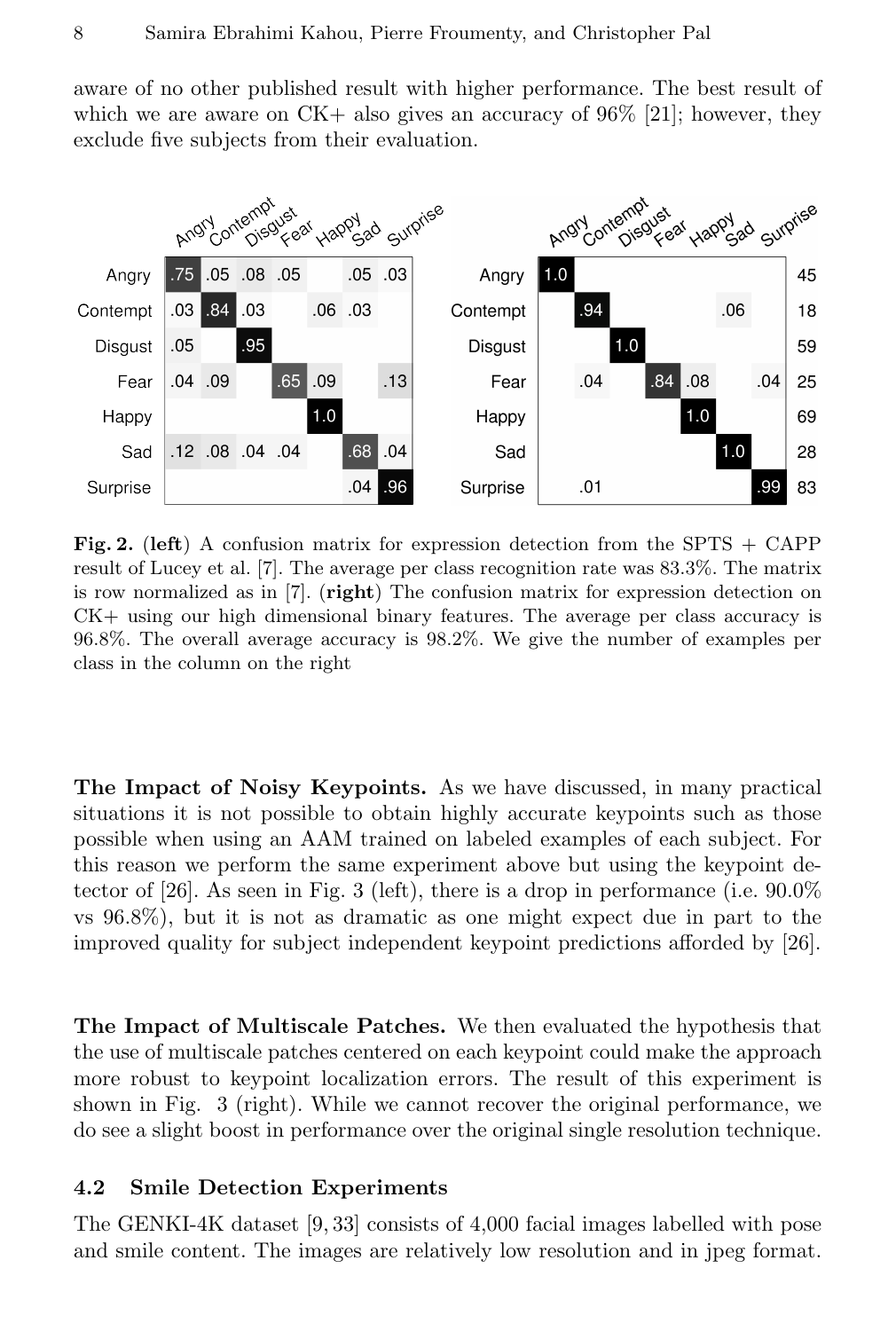aware of no other published result with higher performance. The best result of which we are aware on  $CK+$  also gives an accuracy of  $96\%$  [21]; however, they exclude five subjects from their evaluation.



Fig. 2. (left) A confusion matrix for expression detection from the SPTS  $+$  CAPP result of Lucey et al. [7]. The average per class recognition rate was 83.3%. The matrix is row normalized as in  $[7]$ . (right) The confusion matrix for expression detection on CK+ using our high dimensional binary features. The average per class accuracy is 96.8%. The overall average accuracy is 98.2%. We give the number of examples per class in the column on the right

The Impact of Noisy Keypoints. As we have discussed, in many practical situations it is not possible to obtain highly accurate keypoints such as those possible when using an AAM trained on labeled examples of each subject. For this reason we perform the same experiment above but using the keypoint detector of [26]. As seen in Fig. 3 (left), there is a drop in performance (i.e. 90.0% vs 96.8%), but it is not as dramatic as one might expect due in part to the improved quality for subject independent keypoint predictions afforded by [26].

The Impact of Multiscale Patches. We then evaluated the hypothesis that the use of multiscale patches centered on each keypoint could make the approach more robust to keypoint localization errors. The result of this experiment is shown in Fig. 3 (right). While we cannot recover the original performance, we do see a slight boost in performance over the original single resolution technique.

### 4.2 Smile Detection Experiments

The GENKI-4K dataset [9, 33] consists of 4,000 facial images labelled with pose and smile content. The images are relatively low resolution and in jpeg format.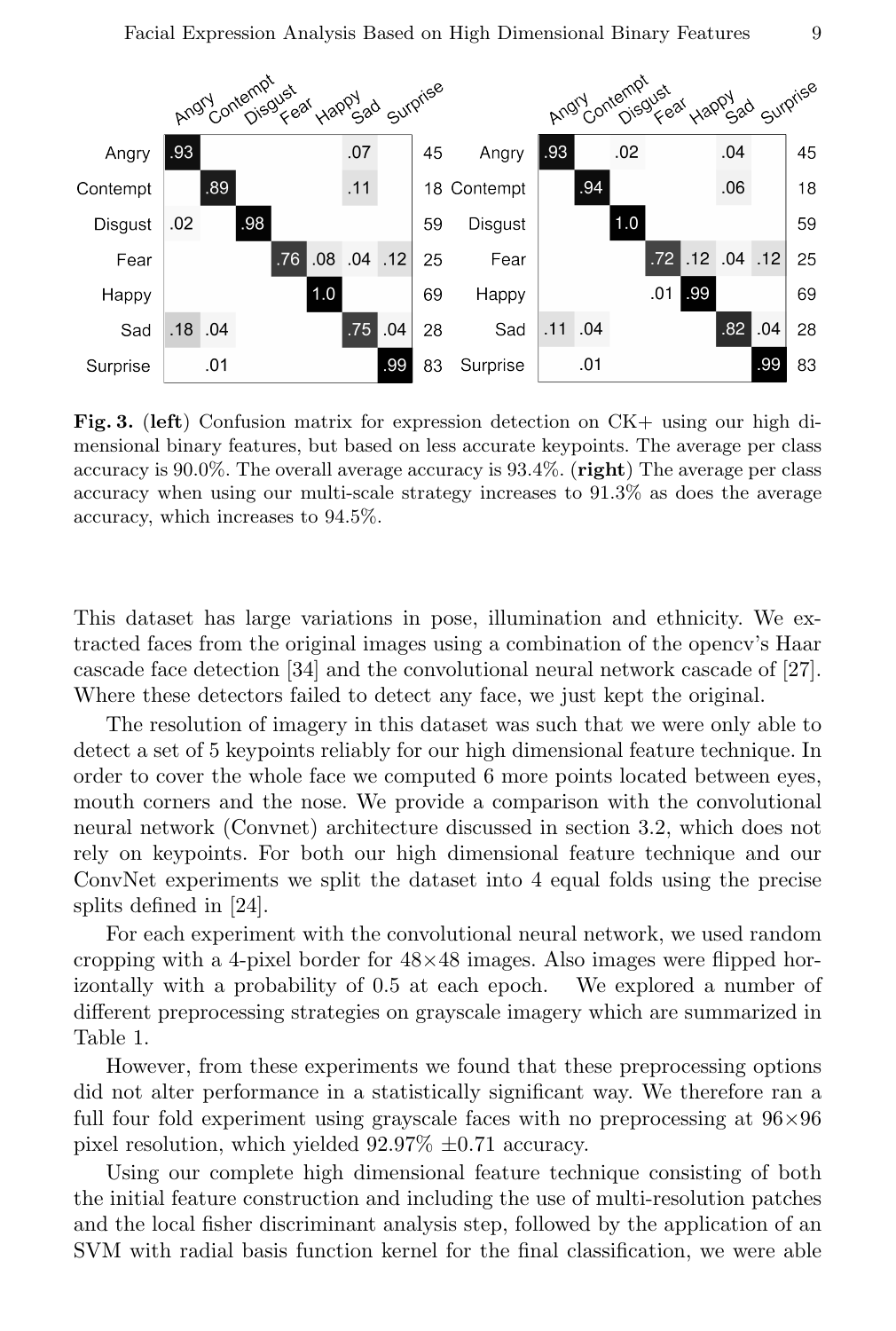

Fig. 3. (left) Confusion matrix for expression detection on  $CK+$  using our high dimensional binary features, but based on less accurate keypoints. The average per class accuracy is  $90.0\%$ . The overall average accuracy is  $93.4\%$ . (right) The average per class accuracy when using our multi-scale strategy increases to 91.3% as does the average accuracy, which increases to 94.5%.

This dataset has large variations in pose, illumination and ethnicity. We extracted faces from the original images using a combination of the opencv's Haar cascade face detection [34] and the convolutional neural network cascade of [27]. Where these detectors failed to detect any face, we just kept the original.

The resolution of imagery in this dataset was such that we were only able to detect a set of 5 keypoints reliably for our high dimensional feature technique. In order to cover the whole face we computed 6 more points located between eyes, mouth corners and the nose. We provide a comparison with the convolutional neural network (Convnet) architecture discussed in section 3.2, which does not rely on keypoints. For both our high dimensional feature technique and our ConvNet experiments we split the dataset into 4 equal folds using the precise splits defined in [24].

For each experiment with the convolutional neural network, we used random cropping with a 4-pixel border for  $48\times48$  images. Also images were flipped horizontally with a probability of 0.5 at each epoch. We explored a number of different preprocessing strategies on grayscale imagery which are summarized in Table 1.

However, from these experiments we found that these preprocessing options did not alter performance in a statistically significant way. We therefore ran a full four fold experiment using grayscale faces with no preprocessing at  $96\times96$ pixel resolution, which yielded 92.97% ±0.71 accuracy.

Using our complete high dimensional feature technique consisting of both the initial feature construction and including the use of multi-resolution patches and the local fisher discriminant analysis step, followed by the application of an SVM with radial basis function kernel for the final classification, we were able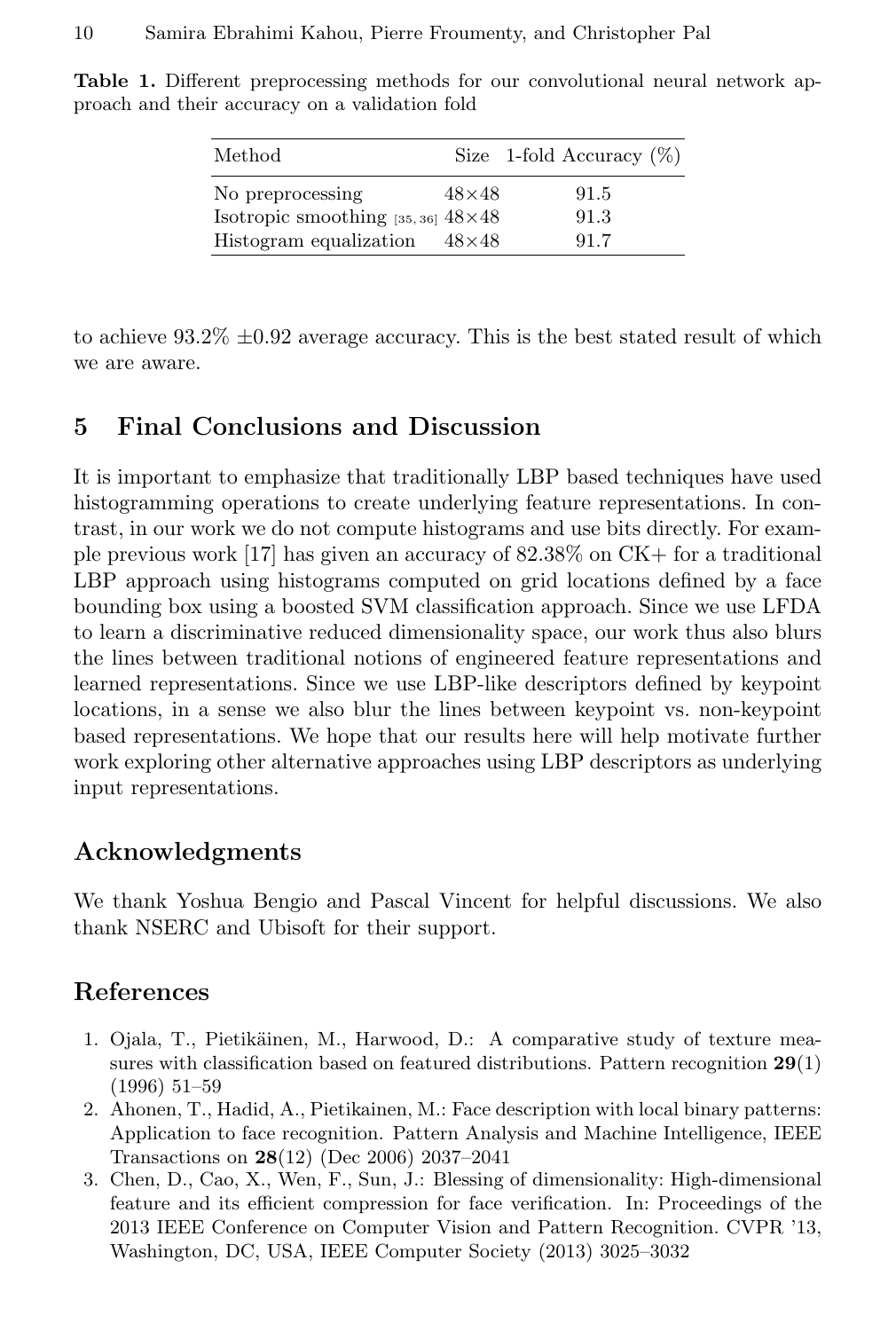| Method                                        |              | Size 1-fold Accuracy $(\%)$ |
|-----------------------------------------------|--------------|-----------------------------|
| No preprocessing                              | $48\times48$ | 91.5                        |
| Isotropic smoothing $[35, 36]$ $48 \times 48$ |              | 91.3                        |
| Histogram equalization                        | $48\times48$ | 91.7                        |

Table 1. Different preprocessing methods for our convolutional neural network approach and their accuracy on a validation fold

to achieve  $93.2\% \pm 0.92$  average accuracy. This is the best stated result of which we are aware.

# 5 Final Conclusions and Discussion

It is important to emphasize that traditionally LBP based techniques have used histogramming operations to create underlying feature representations. In contrast, in our work we do not compute histograms and use bits directly. For example previous work [17] has given an accuracy of 82.38% on CK+ for a traditional LBP approach using histograms computed on grid locations defined by a face bounding box using a boosted SVM classification approach. Since we use LFDA to learn a discriminative reduced dimensionality space, our work thus also blurs the lines between traditional notions of engineered feature representations and learned representations. Since we use LBP-like descriptors defined by keypoint locations, in a sense we also blur the lines between keypoint vs. non-keypoint based representations. We hope that our results here will help motivate further work exploring other alternative approaches using LBP descriptors as underlying input representations.

# Acknowledgments

We thank Yoshua Bengio and Pascal Vincent for helpful discussions. We also thank NSERC and Ubisoft for their support.

# References

- 1. Ojala, T., Pietikäinen, M., Harwood, D.: A comparative study of texture measures with classification based on featured distributions. Pattern recognition  $29(1)$ (1996) 51–59
- 2. Ahonen, T., Hadid, A., Pietikainen, M.: Face description with local binary patterns: Application to face recognition. Pattern Analysis and Machine Intelligence, IEEE Transactions on 28(12) (Dec 2006) 2037–2041
- 3. Chen, D., Cao, X., Wen, F., Sun, J.: Blessing of dimensionality: High-dimensional feature and its efficient compression for face verification. In: Proceedings of the 2013 IEEE Conference on Computer Vision and Pattern Recognition. CVPR '13, Washington, DC, USA, IEEE Computer Society (2013) 3025–3032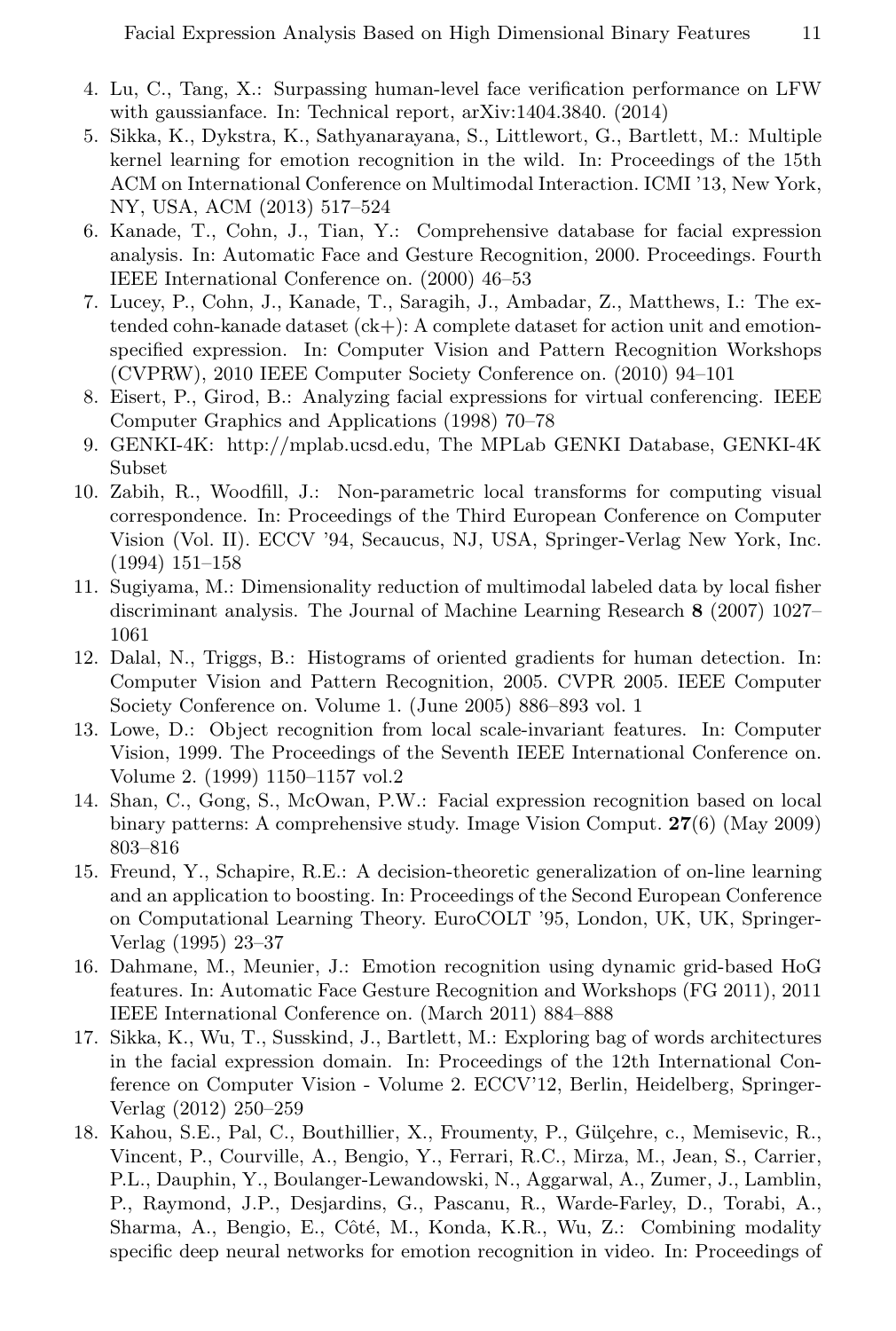- 4. Lu, C., Tang, X.: Surpassing human-level face verification performance on LFW with gaussianface. In: Technical report, arXiv:1404.3840. (2014)
- 5. Sikka, K., Dykstra, K., Sathyanarayana, S., Littlewort, G., Bartlett, M.: Multiple kernel learning for emotion recognition in the wild. In: Proceedings of the 15th ACM on International Conference on Multimodal Interaction. ICMI '13, New York, NY, USA, ACM (2013) 517–524
- 6. Kanade, T., Cohn, J., Tian, Y.: Comprehensive database for facial expression analysis. In: Automatic Face and Gesture Recognition, 2000. Proceedings. Fourth IEEE International Conference on. (2000) 46–53
- 7. Lucey, P., Cohn, J., Kanade, T., Saragih, J., Ambadar, Z., Matthews, I.: The extended cohn-kanade dataset  $(ck+)$ : A complete dataset for action unit and emotionspecified expression. In: Computer Vision and Pattern Recognition Workshops (CVPRW), 2010 IEEE Computer Society Conference on. (2010) 94–101
- 8. Eisert, P., Girod, B.: Analyzing facial expressions for virtual conferencing. IEEE Computer Graphics and Applications (1998) 70–78
- 9. GENKI-4K: http://mplab.ucsd.edu, The MPLab GENKI Database, GENKI-4K Subset
- 10. Zabih, R., Woodfill, J.: Non-parametric local transforms for computing visual correspondence. In: Proceedings of the Third European Conference on Computer Vision (Vol. II). ECCV '94, Secaucus, NJ, USA, Springer-Verlag New York, Inc. (1994) 151–158
- 11. Sugiyama, M.: Dimensionality reduction of multimodal labeled data by local fisher discriminant analysis. The Journal of Machine Learning Research 8 (2007) 1027– 1061
- 12. Dalal, N., Triggs, B.: Histograms of oriented gradients for human detection. In: Computer Vision and Pattern Recognition, 2005. CVPR 2005. IEEE Computer Society Conference on. Volume 1. (June 2005) 886–893 vol. 1
- 13. Lowe, D.: Object recognition from local scale-invariant features. In: Computer Vision, 1999. The Proceedings of the Seventh IEEE International Conference on. Volume 2. (1999) 1150–1157 vol.2
- 14. Shan, C., Gong, S., McOwan, P.W.: Facial expression recognition based on local binary patterns: A comprehensive study. Image Vision Comput. 27(6) (May 2009) 803–816
- 15. Freund, Y., Schapire, R.E.: A decision-theoretic generalization of on-line learning and an application to boosting. In: Proceedings of the Second European Conference on Computational Learning Theory. EuroCOLT '95, London, UK, UK, Springer-Verlag (1995) 23–37
- 16. Dahmane, M., Meunier, J.: Emotion recognition using dynamic grid-based HoG features. In: Automatic Face Gesture Recognition and Workshops (FG 2011), 2011 IEEE International Conference on. (March 2011) 884–888
- 17. Sikka, K., Wu, T., Susskind, J., Bartlett, M.: Exploring bag of words architectures in the facial expression domain. In: Proceedings of the 12th International Conference on Computer Vision - Volume 2. ECCV'12, Berlin, Heidelberg, Springer-Verlag (2012) 250–259
- 18. Kahou, S.E., Pal, C., Bouthillier, X., Froumenty, P., Gülçehre, c., Memisevic, R., Vincent, P., Courville, A., Bengio, Y., Ferrari, R.C., Mirza, M., Jean, S., Carrier, P.L., Dauphin, Y., Boulanger-Lewandowski, N., Aggarwal, A., Zumer, J., Lamblin, P., Raymond, J.P., Desjardins, G., Pascanu, R., Warde-Farley, D., Torabi, A., Sharma, A., Bengio, E., Côté, M., Konda, K.R., Wu, Z.: Combining modality specific deep neural networks for emotion recognition in video. In: Proceedings of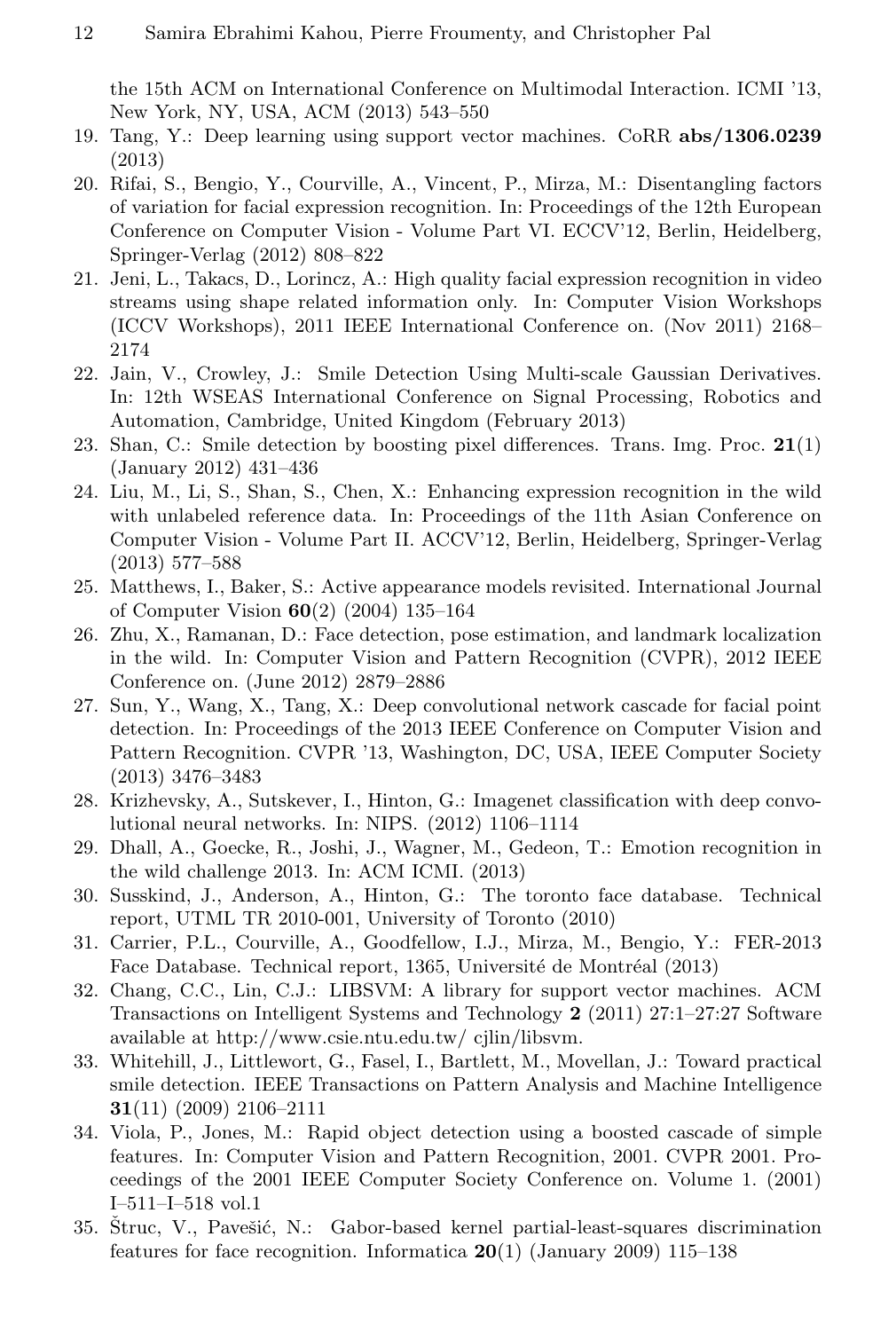the 15th ACM on International Conference on Multimodal Interaction. ICMI '13, New York, NY, USA, ACM (2013) 543–550

- 19. Tang, Y.: Deep learning using support vector machines. CoRR abs/1306.0239 (2013)
- 20. Rifai, S., Bengio, Y., Courville, A., Vincent, P., Mirza, M.: Disentangling factors of variation for facial expression recognition. In: Proceedings of the 12th European Conference on Computer Vision - Volume Part VI. ECCV'12, Berlin, Heidelberg, Springer-Verlag (2012) 808–822
- 21. Jeni, L., Takacs, D., Lorincz, A.: High quality facial expression recognition in video streams using shape related information only. In: Computer Vision Workshops (ICCV Workshops), 2011 IEEE International Conference on. (Nov 2011) 2168– 2174
- 22. Jain, V., Crowley, J.: Smile Detection Using Multi-scale Gaussian Derivatives. In: 12th WSEAS International Conference on Signal Processing, Robotics and Automation, Cambridge, United Kingdom (February 2013)
- 23. Shan, C.: Smile detection by boosting pixel differences. Trans. Img. Proc.  $21(1)$ (January 2012) 431–436
- 24. Liu, M., Li, S., Shan, S., Chen, X.: Enhancing expression recognition in the wild with unlabeled reference data. In: Proceedings of the 11th Asian Conference on Computer Vision - Volume Part II. ACCV'12, Berlin, Heidelberg, Springer-Verlag (2013) 577–588
- 25. Matthews, I., Baker, S.: Active appearance models revisited. International Journal of Computer Vision 60(2) (2004) 135–164
- 26. Zhu, X., Ramanan, D.: Face detection, pose estimation, and landmark localization in the wild. In: Computer Vision and Pattern Recognition (CVPR), 2012 IEEE Conference on. (June 2012) 2879–2886
- 27. Sun, Y., Wang, X., Tang, X.: Deep convolutional network cascade for facial point detection. In: Proceedings of the 2013 IEEE Conference on Computer Vision and Pattern Recognition. CVPR '13, Washington, DC, USA, IEEE Computer Society (2013) 3476–3483
- 28. Krizhevsky, A., Sutskever, I., Hinton, G.: Imagenet classification with deep convolutional neural networks. In: NIPS. (2012) 1106–1114
- 29. Dhall, A., Goecke, R., Joshi, J., Wagner, M., Gedeon, T.: Emotion recognition in the wild challenge 2013. In: ACM ICMI. (2013)
- 30. Susskind, J., Anderson, A., Hinton, G.: The toronto face database. Technical report, UTML TR 2010-001, University of Toronto (2010)
- 31. Carrier, P.L., Courville, A., Goodfellow, I.J., Mirza, M., Bengio, Y.: FER-2013 Face Database. Technical report, 1365, Université de Montréal (2013)
- 32. Chang, C.C., Lin, C.J.: LIBSVM: A library for support vector machines. ACM Transactions on Intelligent Systems and Technology 2 (2011) 27:1–27:27 Software available at http://www.csie.ntu.edu.tw/ cjlin/libsvm.
- 33. Whitehill, J., Littlewort, G., Fasel, I., Bartlett, M., Movellan, J.: Toward practical smile detection. IEEE Transactions on Pattern Analysis and Machine Intelligence 31(11) (2009) 2106–2111
- 34. Viola, P., Jones, M.: Rapid object detection using a boosted cascade of simple features. In: Computer Vision and Pattern Recognition, 2001. CVPR 2001. Proceedings of the 2001 IEEE Computer Society Conference on. Volume 1. (2001) I–511–I–518 vol.1
- 35. Struc, V., Pavešić, N.: Gabor-based kernel partial-least-squares discrimination features for face recognition. Informatica  $20(1)$  (January 2009) 115–138